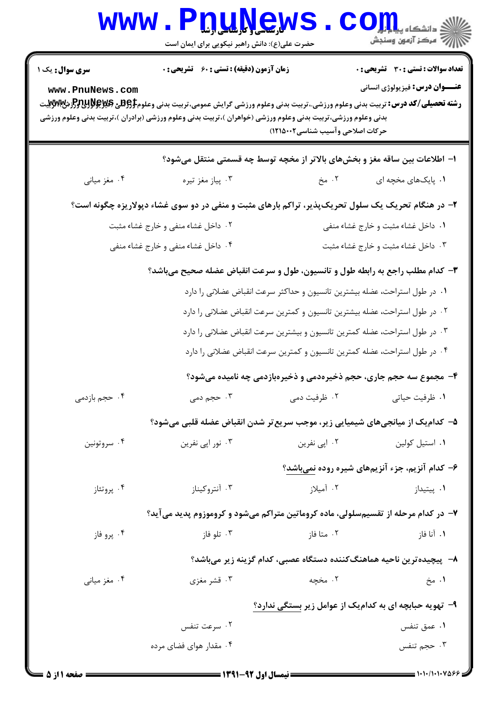|                                           | WWW.PDUNGWS<br>حضرت علی(ع): دانش راهبر نیکویی برای ایمان است                                                                                                                                                                                                                                       |                                                                             | رُ⁄ مرڪز آزمون وسنڊش                                                                  |  |  |
|-------------------------------------------|----------------------------------------------------------------------------------------------------------------------------------------------------------------------------------------------------------------------------------------------------------------------------------------------------|-----------------------------------------------------------------------------|---------------------------------------------------------------------------------------|--|--|
| <b>سری سوال :</b> یک ۱<br>www.PnuNews.com | زمان آزمون (دقیقه) : تستی : 60 ٪ تشریحی : 0<br><b>رشته تحصیلی/کد درس:</b> تربیت بدنی وعلوم ورزشی.،تربیت بدنی وعلوم ورزشی گرایش عمومی،تربیت بدنی وعلوم <del>PRU3 و PRU3 (</del> و PH<br>بدنی وعلوم ورزشی،تربیت بدنی وعلوم ورزشی (خواهران )،تربیت بدنی وعلوم ورزشی (برادران )،تربیت بدنی وعلوم ورزشی | حركات اصلاحى وآسيب شناسى٢٠٠٢١٥٠٠٢)                                          | <b>تعداد سوالات : تستی : 30 ٪ تشریحی : 0</b><br><b>عنـــوان درس:</b> فیزیولوژی انسانی |  |  |
|                                           | ا– اطلاعات بین ساقه مغز و بخشهای بالاتر از مخچه توسط چه قسمتی منتقل میشود؟                                                                                                                                                                                                                         |                                                                             |                                                                                       |  |  |
| ۰۴ مغز میانی                              | ۰۳ پیاز مغز تیره                                                                                                                                                                                                                                                                                   | ۲. مخ                                                                       | ۰۱. پایکهای مخچه ای                                                                   |  |  |
|                                           | ۲- در هنگام تحریک یک سلول تحریکپذیر، تراکم بارهای مثبت و منفی در دو سوی غشاء دپولاریزه چگونه است؟                                                                                                                                                                                                  |                                                                             |                                                                                       |  |  |
|                                           | ۰۲ داخل غشاء منفی و خارج غشاء مثبت                                                                                                                                                                                                                                                                 |                                                                             | ۰۱ داخل غشاء مثبت و خارج غشاء منفی                                                    |  |  |
|                                           | ۰۴ داخل غشاء منفی و خارج غشاء منفی                                                                                                                                                                                                                                                                 |                                                                             | ۰۳ داخل غشاء مثبت و خارج غشاء مثبت                                                    |  |  |
|                                           | ۳- کدام مطلب راجع به رابطه طول و تانسیون، طول و سرعت انقباض عضله صحیح میباشد؟                                                                                                                                                                                                                      |                                                                             |                                                                                       |  |  |
|                                           |                                                                                                                                                                                                                                                                                                    | ٠١ در طول استراحت، عضله بيشترين تانسيون و حداكثر سرعت انقباض عضلاني را دارد |                                                                                       |  |  |
|                                           |                                                                                                                                                                                                                                                                                                    | ۰۲ در طول استراحت، عضله بیشترین تانسیون و کمترین سرعت انقباض عضلانی را دارد |                                                                                       |  |  |
|                                           |                                                                                                                                                                                                                                                                                                    | ۰۳ در طول استراحت، عضله کمترین تانسیون و بیشترین سرعت انقباض عضلانی را دارد |                                                                                       |  |  |
|                                           | ۰۴ در طول استراحت، عضله کمترین تانسیون و کمترین سرعت انقباض عضلانی را دارد                                                                                                                                                                                                                         |                                                                             |                                                                                       |  |  |
|                                           |                                                                                                                                                                                                                                                                                                    |                                                                             | ۴- مجموع سه حجم جاری، حجم ذخیرهدمی و ذخیرهبازدمی چه نامیده میشود؟                     |  |  |
| ۰۴ حجم بازدمی                             | ۰۳ حجم دمی                                                                                                                                                                                                                                                                                         | ۰۲ ظرفیت دمی                                                                | ۰۱ ظرفیت حیاتی                                                                        |  |  |
|                                           | ۵– کدامیک از میانجیهای شیمیایی زیر، موجب سریع تر شدن انقباض عضله قلبی میشود؟                                                                                                                                                                                                                       |                                                                             |                                                                                       |  |  |
| ۰۴ سروتونين                               | ۰۳ نور اپي نفرين                                                                                                                                                                                                                                                                                   | ۰۲ اپی نفرین                                                                | ٠١. استيل كولين                                                                       |  |  |
|                                           |                                                                                                                                                                                                                                                                                                    |                                                                             | ۶– کدام آنزیم، جزء آنزیمهای شیره روده نمیباشد؟                                        |  |  |
| ۰۴ پروتئاز                                | ۰۳ آنتروکیناز                                                                                                                                                                                                                                                                                      | ۰۲ آمیلاز                                                                   | ۰۱ پیتیداز                                                                            |  |  |
|                                           | ۷– در کدام مرحله از تقسیمسلولی، ماده کروماتین متراکم میشود و کروموزوم پدید میآید؟                                                                                                                                                                                                                  |                                                                             |                                                                                       |  |  |
| ۰۴ پرو فاز                                | ۰۳ تلو فاز                                                                                                                                                                                                                                                                                         | ۰۲ متا فاز                                                                  | ۰۱ آنا فاز                                                                            |  |  |
|                                           |                                                                                                                                                                                                                                                                                                    |                                                                             | ٨− پیچیده ترین ناحیه هماهنگکننده دستگاه عصبی، کدام گزینه زیر میباشد؟                  |  |  |
| ۰۴ مغز میانی                              | ۰۳ قشر مغزی                                                                                                                                                                                                                                                                                        | ۲. مخچه                                                                     | ۱. مخ                                                                                 |  |  |
|                                           | ۹- تهویه حبابچه ای به کدامیک از عوامل زیر بستگی ندارد؟                                                                                                                                                                                                                                             |                                                                             |                                                                                       |  |  |
|                                           | ۰۲ سرعت تنفس                                                                                                                                                                                                                                                                                       |                                                                             | ۰۱ عمق تنفس                                                                           |  |  |
|                                           | ۰۴ مقدار هوای فضای مرده                                                                                                                                                                                                                                                                            |                                                                             | ۰۳ حجم تنفس                                                                           |  |  |
|                                           |                                                                                                                                                                                                                                                                                                    |                                                                             |                                                                                       |  |  |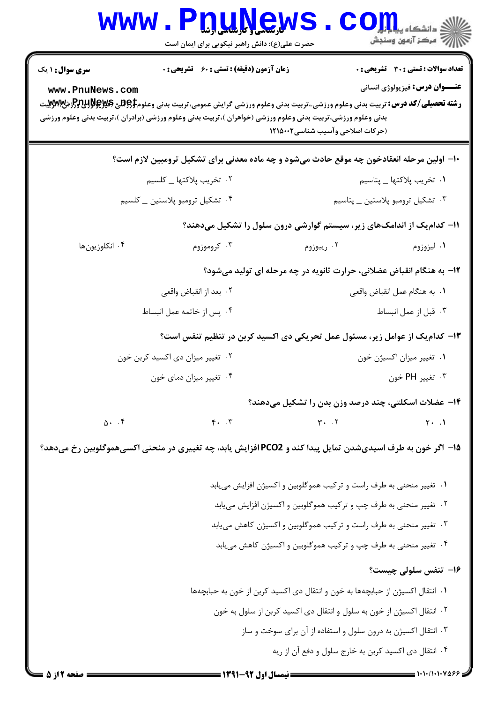| <b>WWW</b>                                                      | V. S. V. J. J. J.<br>حضرت علی(ع): دانش راهبر نیکویی برای ایمان است                                                                                                                                                                                                                                       |                                                                               | دانشکا ه پی <b>ا با با<mark>ر</mark></b><br>رآب مرڪز آزمون وسنڊش                      |  |  |
|-----------------------------------------------------------------|----------------------------------------------------------------------------------------------------------------------------------------------------------------------------------------------------------------------------------------------------------------------------------------------------------|-------------------------------------------------------------------------------|---------------------------------------------------------------------------------------|--|--|
| <b>سری سوال : ۱ یک</b><br>www.PnuNews.com                       | <b>زمان آزمون (دقیقه) : تستی : 60 ٪ تشریحی : 0</b><br><b>رشته تحصیلی/کد درس:</b> تربیت بدنی وعلوم ورزشی.،تربیت بدنی وعلوم ورزشی گرایش عمومی،تربیت بدنی وعلوم <b>55پیوچیSH و Prujy</b> پیت<br>بدنی وعلوم ورزشی،تربیت بدنی وعلوم ورزشی (خواهران )،تربیت بدنی وعلوم ورزشی (برادران )،تربیت بدنی وعلوم ورزشی | (حركات اصلاحي وآسيب شناسي1۲۱۵۰۰۲                                              | <b>تعداد سوالات : تستی : 30 ٪ تشریحی : 0</b><br><b>عنـــوان درس:</b> فیزیولوژی انسانی |  |  |
|                                                                 | ∙ا− اولین مرحله انعقادخون چه موقع حادث میشود و چه ماده معدنی برای تشکیل ترومبین لازم است؟                                                                                                                                                                                                                |                                                                               |                                                                                       |  |  |
|                                                                 | ۰۲ تخریب پلاکتها _ کلسیم                                                                                                                                                                                                                                                                                 |                                                                               | ٠١ تخريب پلاكتها _ پتاسيم                                                             |  |  |
|                                                                 | ۰۴ تشکیل ترومبو پلاستین _ کلسیم                                                                                                                                                                                                                                                                          |                                                                               | ۰۳ تشکیل ترومبو پلاستین _ پتاسیم                                                      |  |  |
|                                                                 | 1۱– کدام یک از اندامکهای زیر، سیستم گوارشی درون سلول را تشکیل میدهند؟                                                                                                                                                                                                                                    |                                                                               |                                                                                       |  |  |
| ۰۴ انکلوزیون ها                                                 | ۰۳ کروموزوم                                                                                                                                                                                                                                                                                              | ۰۲ ریبوزوم                                                                    | ۰۱ لیزوزوم                                                                            |  |  |
|                                                                 |                                                                                                                                                                                                                                                                                                          | ۱۲- به هنگام انقباض عضلانی، حرارت ثانویه در چه مرحله ای تولید میشود؟          |                                                                                       |  |  |
|                                                                 | ۰۲ بعد از انقباض واقعي                                                                                                                                                                                                                                                                                   |                                                                               | ٠١. به هنگام عمل انقباض واقعي                                                         |  |  |
|                                                                 | ۰۴ پس از خاتمه عمل انبساط                                                                                                                                                                                                                                                                                |                                                                               | ۰۳ قبل از عمل انبساط                                                                  |  |  |
|                                                                 | ۱۳- کدام یک از عوامل زیر، مسئول عمل تحریکی دی اکسید کربن در تنظیم تنفس است؟                                                                                                                                                                                                                              |                                                                               |                                                                                       |  |  |
|                                                                 | ۰۲ تغییر میزان دی اکسید کربن خون                                                                                                                                                                                                                                                                         |                                                                               | ٠١ تغيير ميزان اكسيژن خون                                                             |  |  |
| ۰۴ تغییر میزان دمای خون                                         |                                                                                                                                                                                                                                                                                                          | ۰۳ تغيير PH خون                                                               |                                                                                       |  |  |
|                                                                 |                                                                                                                                                                                                                                                                                                          | ۰۱۴ عضلات اسکلتی، چند درصد وزن بدن را تشکیل میدهند؟                           |                                                                                       |  |  |
| 0.5                                                             | $\mathbf{r}$ . $\mathbf{r}$                                                                                                                                                                                                                                                                              | $\mathbf{r}$ . $\mathbf{r}$                                                   | $\uparrow \cdot \cdot \cdot$                                                          |  |  |
|                                                                 | ۱۵– اگر خون به طرف اسیدیشدن تمایل پیدا کند و PCO2 افزایش یابد، چه تغییری در منحنی اکسیهموگلوبین رخ میدهد؟                                                                                                                                                                                                |                                                                               |                                                                                       |  |  |
|                                                                 |                                                                                                                                                                                                                                                                                                          | ۰۱ تغییر منحنی به طرف راست و ترکیب هموگلوبین و اکسیژن افزایش می یابد          |                                                                                       |  |  |
|                                                                 | ۰۲ تغییر منحنی به طرف چپ و ترکیب هموگلوبین و اکسیژن افزایش می یابد                                                                                                                                                                                                                                       |                                                                               |                                                                                       |  |  |
|                                                                 | ۰۳ تغییر منحنی به طرف راست و ترکیب هموگلوبین و اکسیژن کاهش مییابد                                                                                                                                                                                                                                        |                                                                               |                                                                                       |  |  |
| ۰۴ تغییر منحنی به طرف چپ و ترکیب هموگلوبین و اکسیژن کاهش مییابد |                                                                                                                                                                                                                                                                                                          |                                                                               |                                                                                       |  |  |
|                                                                 |                                                                                                                                                                                                                                                                                                          |                                                                               | ۱۶- تنفس سلولی چیست؟                                                                  |  |  |
|                                                                 |                                                                                                                                                                                                                                                                                                          | ۰۱ انتقال اکسیژن از حبابچهها به خون و انتقال دی اکسید کربن از خون به حبابچهها |                                                                                       |  |  |
|                                                                 | ۰۲ انتقال اکسیژن از خون به سلول و انتقال دی اکسید کربن از سلول به خون                                                                                                                                                                                                                                    |                                                                               |                                                                                       |  |  |
|                                                                 |                                                                                                                                                                                                                                                                                                          | ۰۳ انتقال اکسیژن به درون سلول و استفاده از آن برای سوخت و ساز                 |                                                                                       |  |  |
|                                                                 |                                                                                                                                                                                                                                                                                                          | ۰۴ انتقال دی اکسید کربن به خارج سلول و دفع آن از ریه                          |                                                                                       |  |  |
| صفحه 12 5 5                                                     |                                                                                                                                                                                                                                                                                                          |                                                                               |                                                                                       |  |  |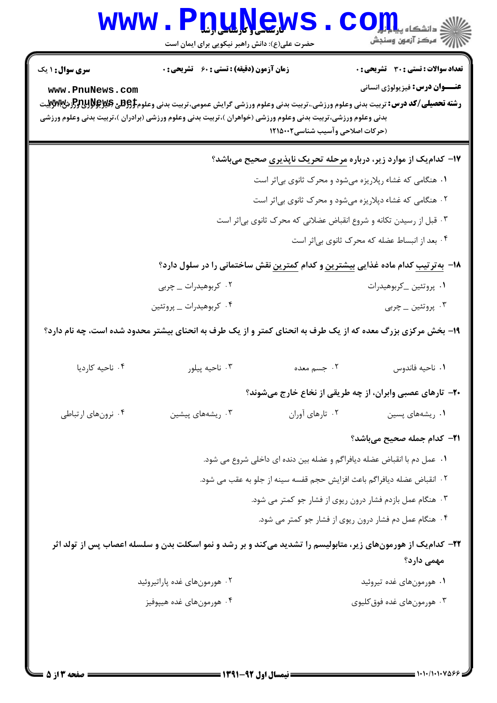|                                           | WWW.PDUNGW<br>حضرت علی(ع): دانش راهبر نیکویی برای ایمان است                                                                                                                                                                                                                                                                                                                                                                                                                                             |                                                                                                                                                                                           | رآب امرڪز آزمون وسنڊش                                                                                                                                                                         |
|-------------------------------------------|---------------------------------------------------------------------------------------------------------------------------------------------------------------------------------------------------------------------------------------------------------------------------------------------------------------------------------------------------------------------------------------------------------------------------------------------------------------------------------------------------------|-------------------------------------------------------------------------------------------------------------------------------------------------------------------------------------------|-----------------------------------------------------------------------------------------------------------------------------------------------------------------------------------------------|
| <b>سری سوال : ۱ یک</b><br>www.PnuNews.com | <b>زمان آزمون (دقیقه) : تستی : 60 ٪ تشریحی : 0</b><br><b>رشته تحصیلی/کد درس:</b> تربیت بدنی وعلوم ورزشی.،تربیت بدنی وعلوم ورزشی گرایش عمومی،تربیت بدنی وعلوم\$BRU و PRHH و PMWب<br>بدنی وعلوم ورزشی،تربیت بدنی وعلوم ورزشی (خواهران )،تربیت بدنی وعلوم ورزشی (برادران )،تربیت بدنی وعلوم ورزشی                                                                                                                                                                                                          | (حركات اصلاحي وآسيب شناسي1۲۱۵۰۰۲                                                                                                                                                          | <b>تعداد سوالات : تستی : 30 ٪ تشریحی : 0</b><br><b>عنـــوان درس:</b> فیزیولوژی انسانی                                                                                                         |
|                                           |                                                                                                                                                                                                                                                                                                                                                                                                                                                                                                         | ۰۱ هنگامی که غشاء رپلاریزه میشود و محرک ثانوی بی اثر است<br>۰۲ هنگامی که غشاء دپلاریزه میشود و محرک ثانوی بی ثر است<br>۰۳ قبل از رسیدن تکانه و شروع انقباض عضلانی که محرک ثانوی بیاثر است | ۱۷– کدام یک از موارد زیر، درباره <u>مرحله تحریک ناپذیری</u> صحیح میباشد؟                                                                                                                      |
|                                           | ۰۲ کربوهیدرات _ چربی<br>۰۴ کربوهیدرات _ پروتئین<br>۱۹- بخش مرکزی بزرگ معده که از یک طرف به انحنای کمتر و از یک طرف به انحنای بیشتر محدود شده است، چه نام دارد؟                                                                                                                                                                                                                                                                                                                                          |                                                                                                                                                                                           | ۰۴ بعد از انبساط عضله که محرک ثانوی بیاثر است<br>۱۸− بهترتیب کدام ماده غذایی <u>بیشترین</u> و کدام <u>کمترین</u> نقش ساختمانی را در سلول دارد؟<br>٠١ پروتئين _کربوهيدرات<br>۰۳ پروتئین _ چربی |
| ۰۴ ناحيه كارديا                           | ۰۳ ناحيه پيلور                                                                                                                                                                                                                                                                                                                                                                                                                                                                                          | ۰۲ جسم معده                                                                                                                                                                               | ٠١ ناحيه فاندوس<br><b>۲۰</b> - تارهای عصبی وابران، از چه طریقی از نخاع خارج میشوند؟                                                                                                           |
| ۰۴ نرونهای ارتباطی                        | ۰۲ تارهای آوران<br>۰۳ ریشههای پیشین<br>۰۱ ریشههای پسین<br><b>۲۱</b> – کدام جمله صحیح میباشد؟<br>٠١ عمل دم با انقباض عضله ديافراگم و عضله بين دنده اي داخلي شروع مي شود.<br>٢.  انقباض عضله ديافراگم باعث افزايش حجم قفسه سينه از جلو به عقب مي شود.<br>۰۳ هنگام عمل بازدم فشار درون ریوی از فشار جو کمتر می شود.<br>۰۴ هنگام عمل دم فشار درون ریوی از فشار جو کمتر می شود.<br>۲۲- کدامیک از هورمونهای زیر، متابولیسم را تشدید میکند و بر رشد و نمو اسکلت بدن و سلسله اعصاب پس از تولد اثر<br>مهمی دارد؟ |                                                                                                                                                                                           |                                                                                                                                                                                               |
|                                           | ۰۲ هورمونهای غده پاراتیروئید<br>۰۴ هورمونهای غده هیپوفیز                                                                                                                                                                                                                                                                                                                                                                                                                                                |                                                                                                                                                                                           | ۰۱ هورمونهای غده تیروئید<br>۰۳ هورمون های غده فوق کلیوی                                                                                                                                       |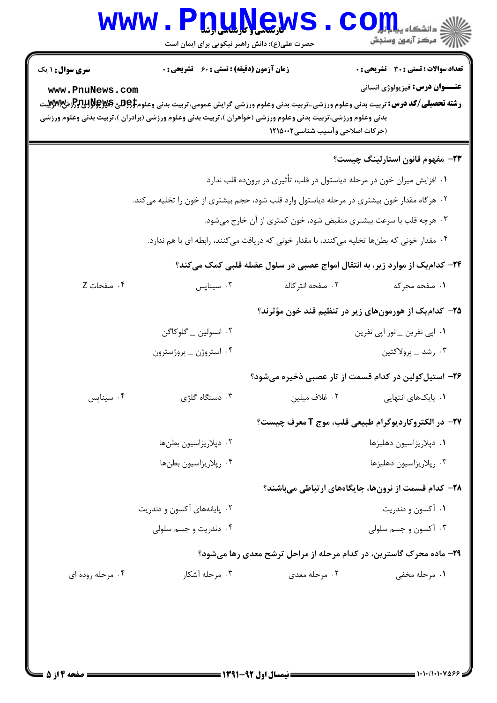| <b>WWW</b>                                                                                 | $\frac{1}{2}$<br>حضرت علی(ع): دانش راهبر نیکویی برای ایمان است                                                                                                                                                                                                                                                    |                                                                         | دانشکا ه پی <mark>ا با</mark> با <mark>ر</mark><br>أأأ مركز آزمون وسنجش               |  |
|--------------------------------------------------------------------------------------------|-------------------------------------------------------------------------------------------------------------------------------------------------------------------------------------------------------------------------------------------------------------------------------------------------------------------|-------------------------------------------------------------------------|---------------------------------------------------------------------------------------|--|
| <b>سری سوال :</b> ۱ یک<br>www.PnuNews.com                                                  | <b>زمان آزمون (دقیقه) : تستی : 60 ٪ تشریحی : 0</b><br><b>رشته تحصیلی/کد درس:</b> تربیت بدنی وعلوم ورزشی.،تربیت بدنی وعلوم ورزشی گرایش عمومی،تربیت بدنی وعلوم <del>[95% &amp; Pruy وPr</del> yyyبیت<br>بدنی وعلوم ورزشی،تربیت بدنی وعلوم ورزشی (خواهران )،تربیت بدنی وعلوم ورزشی (برادران )،تربیت بدنی وعلوم ورزشی | (حركات اصلاحي وآسيب شناسي1۲۱۵۰۰۲                                        | <b>تعداد سوالات : تستی : 30 ٪ تشریحی : 0</b><br><b>عنـــوان درس:</b> فیزیولوژی انسانی |  |
|                                                                                            |                                                                                                                                                                                                                                                                                                                   |                                                                         | <b>۲۳</b> - مفهوم قانون استارلینگ چیست؟                                               |  |
|                                                                                            |                                                                                                                                                                                                                                                                                                                   | ۰۱ افزایش میزان خون در مرحله دیاستول در قلب، تأثیری در برونده قلب ندارد |                                                                                       |  |
|                                                                                            | ۰۲ هرگاه مقدار خون بیشتری در مرحله دیاستول وارد قلب شود، حجم بیشتری از خون را تخلیه می کند.                                                                                                                                                                                                                       |                                                                         |                                                                                       |  |
|                                                                                            |                                                                                                                                                                                                                                                                                                                   | ۰۳ هرچه قلب با سرعت بیشتری منقبض شود، خون کمتری از آن خارج میشود.       |                                                                                       |  |
| ۰۴ مقدار خونی که بطنها تخلیه میکنند، با مقدار خونی که دریافت میکنند، رابطه ای با هم ندارد. |                                                                                                                                                                                                                                                                                                                   |                                                                         |                                                                                       |  |
|                                                                                            |                                                                                                                                                                                                                                                                                                                   |                                                                         | ۲۴- کدام یک از موارد زیر، به انتقال امواج عصبی در سلول عضله قلبی کمک میکند؟           |  |
| ۰۴ صفحات Z                                                                                 | ۰۳ سيناپس                                                                                                                                                                                                                                                                                                         | ۰۲ صفحه انتركاله                                                        | ۱. صفحه محرکه                                                                         |  |
| ۲۵– کدامیک از هورمونهای زیر در تنظیم قند خون مؤثرند؟                                       |                                                                                                                                                                                                                                                                                                                   |                                                                         |                                                                                       |  |
|                                                                                            | ۰۲ انسولین _ گلوکاگن                                                                                                                                                                                                                                                                                              |                                                                         | ۰۱ اپی نفرین _ نور اپی نفرین                                                          |  |
|                                                                                            | ۰۴ استروژن _ پروژسترون                                                                                                                                                                                                                                                                                            |                                                                         | ۰۳ رشد _ پرولاكتين                                                                    |  |
|                                                                                            |                                                                                                                                                                                                                                                                                                                   |                                                                         | ۲۶– استیلکولین در کدام قسمت از تار عصبی ذخیره میشود؟                                  |  |
| ۰۴ سيناپس                                                                                  | ۰۳ دستگاه گلژی                                                                                                                                                                                                                                                                                                    | ۰۲ غلاف میلین                                                           | ۰۱ پایکهای انتهایی                                                                    |  |
|                                                                                            |                                                                                                                                                                                                                                                                                                                   |                                                                         | <b>۲۷-</b> در الکتروکاردیوگرام طبیعی قلب، موج T معرف چیست؟                            |  |
|                                                                                            | ۰۲ دپلاریزاسیون بطنها                                                                                                                                                                                                                                                                                             |                                                                         | ٠١ دپلاريزاسيون دهليزها                                                               |  |
|                                                                                            | ۰۴ رپلاريزاسيون بطنها                                                                                                                                                                                                                                                                                             |                                                                         | ۰۳ رپلاریزاسیون دهلیزها                                                               |  |
|                                                                                            |                                                                                                                                                                                                                                                                                                                   |                                                                         | <b>۲۸</b> - کدام قسمت از نرونها، جایگاههای ارتباطی میباشند؟                           |  |
|                                                                                            | ۰۲ پایانههای آکسون و دندریت                                                                                                                                                                                                                                                                                       |                                                                         | ۰۱ آکسون و دندریت                                                                     |  |
|                                                                                            | ۰۴ دندریت و جسم سلولی                                                                                                                                                                                                                                                                                             |                                                                         | ۰۳ آکسون و جسم سلولی                                                                  |  |
|                                                                                            |                                                                                                                                                                                                                                                                                                                   |                                                                         | ۲۹- ماده محرک گاسترین، در کدام مرحله از مراحل ترشح معدی رها میشود؟                    |  |
| ۰۴ مرحله روده ای                                                                           | ۰۳ مرحله آشکار                                                                                                                                                                                                                                                                                                    | ۰۲ مرحله معدی                                                           | ۰۱ مرحله مخفی                                                                         |  |